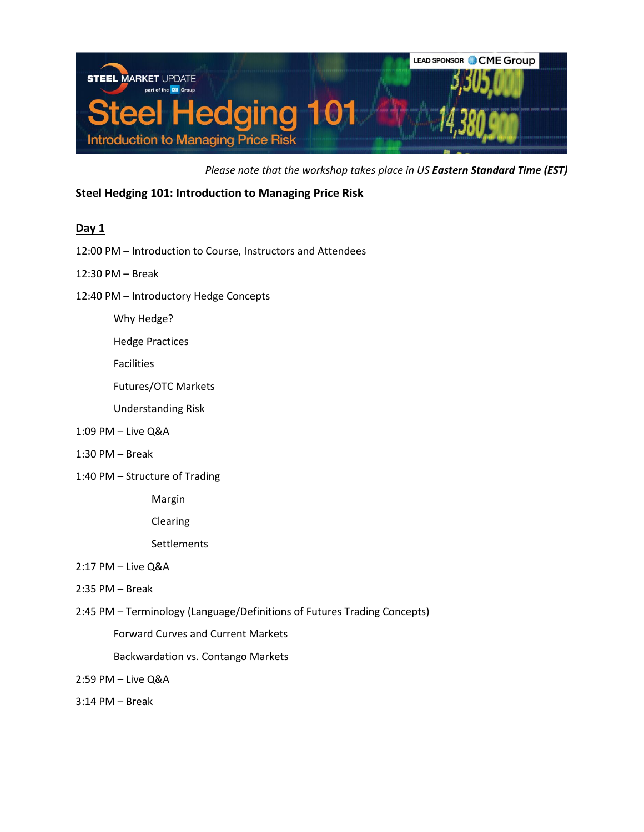

*Please note that the workshop takes place in US Eastern Standard Time (EST)*

**Steel Hedging 101: Introduction to Managing Price Risk**

## **Day 1**

12:00 PM – Introduction to Course, Instructors and Attendees

12:30 PM – Break

12:40 PM – Introductory Hedge Concepts

Why Hedge?

Hedge Practices

Facilities

Futures/OTC Markets

Understanding Risk

- 1:09 PM Live Q&A
- 1:30 PM Break
- 1:40 PM Structure of Trading

Margin

Clearing

**Settlements** 

- 2:17 PM Live Q&A
- 2:35 PM Break
- 2:45 PM Terminology (Language/Definitions of Futures Trading Concepts)

Forward Curves and Current Markets

Backwardation vs. Contango Markets

2:59 PM – Live Q&A

3:14 PM – Break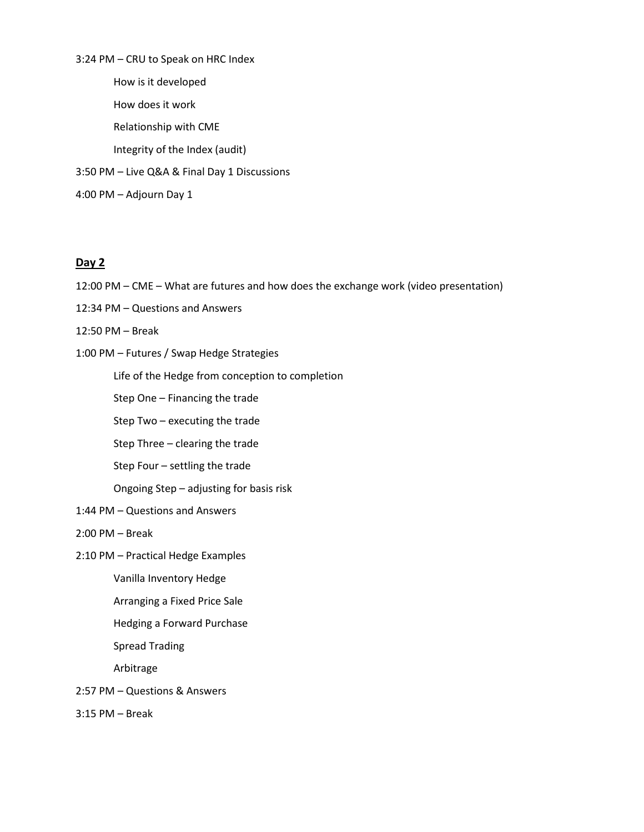3:24 PM – CRU to Speak on HRC Index How is it developed How does it work Relationship with CME Integrity of the Index (audit) 3:50 PM – Live Q&A & Final Day 1 Discussions 4:00 PM – Adjourn Day 1

## **Day 2**

- 12:00 PM CME What are futures and how does the exchange work (video presentation)
- 12:34 PM Questions and Answers
- 12:50 PM Break
- 1:00 PM Futures / Swap Hedge Strategies

Life of the Hedge from conception to completion

Step One – Financing the trade

Step Two – executing the trade

Step Three – clearing the trade

Step Four – settling the trade

Ongoing Step – adjusting for basis risk

1:44 PM – Questions and Answers

2:00 PM – Break

2:10 PM – Practical Hedge Examples

Vanilla Inventory Hedge

Arranging a Fixed Price Sale

Hedging a Forward Purchase

Spread Trading

Arbitrage

- 2:57 PM Questions & Answers
- 3:15 PM Break